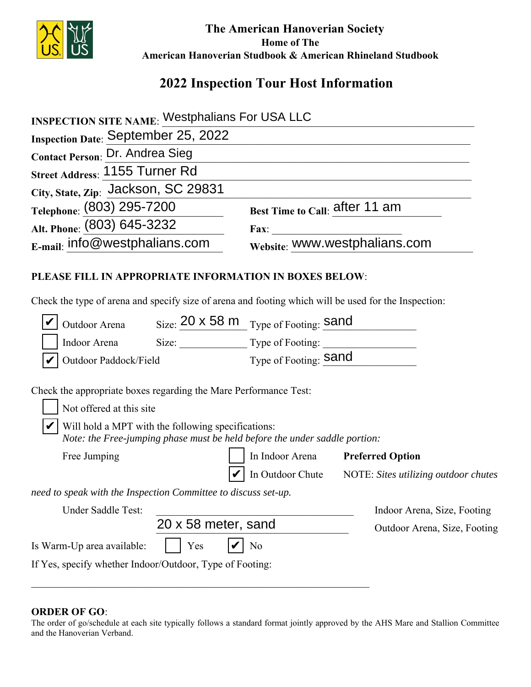

 **The American Hanoverian Society Home of The American Hanoverian Studbook & American Rhineland Studbook**

## **2022 Inspection Tour Host Information**

| <b>INSPECTION SITE NAME: Westphalians For USA LLC</b>                                                                                                          |                                                                                                                                  |                                |                                                       |  |
|----------------------------------------------------------------------------------------------------------------------------------------------------------------|----------------------------------------------------------------------------------------------------------------------------------|--------------------------------|-------------------------------------------------------|--|
| Inspection Date: September 25, 2022                                                                                                                            |                                                                                                                                  |                                |                                                       |  |
| <b>Contact Person: Dr. Andrea Sieg</b>                                                                                                                         |                                                                                                                                  |                                |                                                       |  |
| Street Address: 1155 Turner Rd                                                                                                                                 |                                                                                                                                  |                                |                                                       |  |
| City, State, Zip: Jackson, SC 29831                                                                                                                            |                                                                                                                                  |                                |                                                       |  |
| Telephone: (803) 295-7200                                                                                                                                      |                                                                                                                                  | Best Time to Call: after 11 am |                                                       |  |
| Alt. Phone: (803) 645-3232                                                                                                                                     |                                                                                                                                  |                                |                                                       |  |
| $E$ -mail: info@westphalians.com                                                                                                                               |                                                                                                                                  | Fax: WWW.westphalians.com      |                                                       |  |
| PLEASE FILL IN APPROPRIATE INFORMATION IN BOXES BELOW:<br>Check the type of arena and specify size of arena and footing which will be used for the Inspection: |                                                                                                                                  |                                |                                                       |  |
| Outdoor Arena Size: 20 x 58 m Type of Footing: Sand                                                                                                            |                                                                                                                                  |                                |                                                       |  |
| Indoor Arena                                                                                                                                                   | Size: Type of Footing:                                                                                                           |                                |                                                       |  |
| Outdoor Paddock/Field                                                                                                                                          |                                                                                                                                  | Type of Footing: Sand          |                                                       |  |
| Check the appropriate boxes regarding the Mare Performance Test:<br>Not offered at this site                                                                   |                                                                                                                                  |                                |                                                       |  |
|                                                                                                                                                                | Will hold a MPT with the following specifications:<br>Note: the Free-jumping phase must be held before the under saddle portion: |                                |                                                       |  |
| Free Jumping                                                                                                                                                   |                                                                                                                                  | In Indoor Arena                | <b>Preferred Option</b>                               |  |
|                                                                                                                                                                |                                                                                                                                  |                                | In Outdoor Chute NOTE: Sites utilizing outdoor chutes |  |
| need to speak with the Inspection Committee to discuss set-up.                                                                                                 |                                                                                                                                  |                                |                                                       |  |
| Under Saddle Test:                                                                                                                                             |                                                                                                                                  |                                | Indoor Arena, Size, Footing                           |  |
|                                                                                                                                                                | 20 x 58 meter, sand                                                                                                              |                                | Outdoor Arena, Size, Footing                          |  |
| Is Warm-Up area available:                                                                                                                                     | Yes                                                                                                                              | N <sub>0</sub>                 |                                                       |  |
| If Yes, specify whether Indoor/Outdoor, Type of Footing:                                                                                                       |                                                                                                                                  |                                |                                                       |  |

## **ORDER OF GO**:

The order of go/schedule at each site typically follows a standard format jointly approved by the AHS Mare and Stallion Committee and the Hanoverian Verband.

\_\_\_\_\_\_\_\_\_\_\_\_\_\_\_\_\_\_\_\_\_\_\_\_\_\_\_\_\_\_\_\_\_\_\_\_\_\_\_\_\_\_\_\_\_\_\_\_\_\_\_\_\_\_\_\_\_\_\_\_\_\_\_\_\_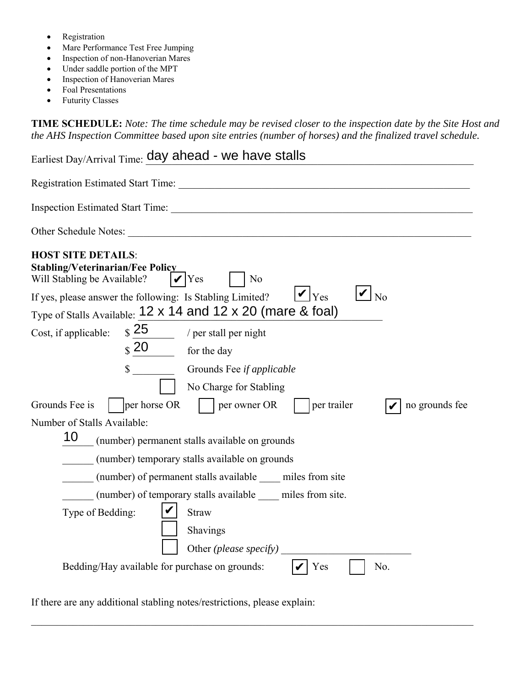- Registration
- Mare Performance Test Free Jumping
- Inspection of non-Hanoverian Mares
- Under saddle portion of the MPT
- Inspection of Hanoverian Mares
- Foal Presentations
- Futurity Classes

**TIME SCHEDULE:** *Note: The time schedule may be revised closer to the inspection date by the Site Host and the AHS Inspection Committee based upon site entries (number of horses) and the finalized travel schedule.* 

| Earliest Day/Arrival Time: day ahead - we have stalls                                                                                                                                                                                                                                                          |
|----------------------------------------------------------------------------------------------------------------------------------------------------------------------------------------------------------------------------------------------------------------------------------------------------------------|
|                                                                                                                                                                                                                                                                                                                |
| Inspection Estimated Start Time:                                                                                                                                                                                                                                                                               |
| Other Schedule Notes: The Schedule Notes:                                                                                                                                                                                                                                                                      |
| <b>HOST SITE DETAILS:</b><br><b>Stabling/Veterinarian/Fee Policy</b><br>Will Stabling be Available?<br>N <sub>o</sub><br>$\mathbf{V}$ Yes<br>$\mathbf{V}$ No<br>$ V _{\text{Yes}}$<br>If yes, please answer the following: Is Stabling Limited?<br>Type of Stalls Available: 12 x 14 and 12 x 20 (mare & foal) |
| $\frac{25}{ }$<br>Cost, if applicable:<br>/ per stall per night                                                                                                                                                                                                                                                |
| $\frac{20}{\sqrt{2}}$<br>for the day                                                                                                                                                                                                                                                                           |
| Grounds Fee if applicable<br>$\mathbb{S}$                                                                                                                                                                                                                                                                      |
| No Charge for Stabling                                                                                                                                                                                                                                                                                         |
| Grounds Fee is<br>per horse OR<br>per trailer<br>per owner OR<br>no grounds fee                                                                                                                                                                                                                                |
| Number of Stalls Available:                                                                                                                                                                                                                                                                                    |
| 10<br>(number) permanent stalls available on grounds                                                                                                                                                                                                                                                           |
| (number) temporary stalls available on grounds                                                                                                                                                                                                                                                                 |
| (number) of permanent stalls available miles from site                                                                                                                                                                                                                                                         |
| (number) of temporary stalls available miles from site.                                                                                                                                                                                                                                                        |
| Type of Bedding:<br><b>Straw</b>                                                                                                                                                                                                                                                                               |
| Shavings                                                                                                                                                                                                                                                                                                       |
| Other <i>(please specify)</i>                                                                                                                                                                                                                                                                                  |
| Bedding/Hay available for purchase on grounds:<br>Yes<br>No.                                                                                                                                                                                                                                                   |

 $\_$  ,  $\_$  ,  $\_$  ,  $\_$  ,  $\_$  ,  $\_$  ,  $\_$  ,  $\_$  ,  $\_$  ,  $\_$  ,  $\_$  ,  $\_$  ,  $\_$  ,  $\_$  ,  $\_$  ,  $\_$  ,  $\_$  ,  $\_$  ,  $\_$  ,  $\_$  ,  $\_$  ,  $\_$  ,  $\_$  ,  $\_$  ,  $\_$  ,  $\_$  ,  $\_$  ,  $\_$  ,  $\_$  ,  $\_$  ,  $\_$  ,  $\_$  ,  $\_$  ,  $\_$  ,  $\_$  ,  $\_$  ,  $\_$  ,

If there are any additional stabling notes/restrictions, please explain: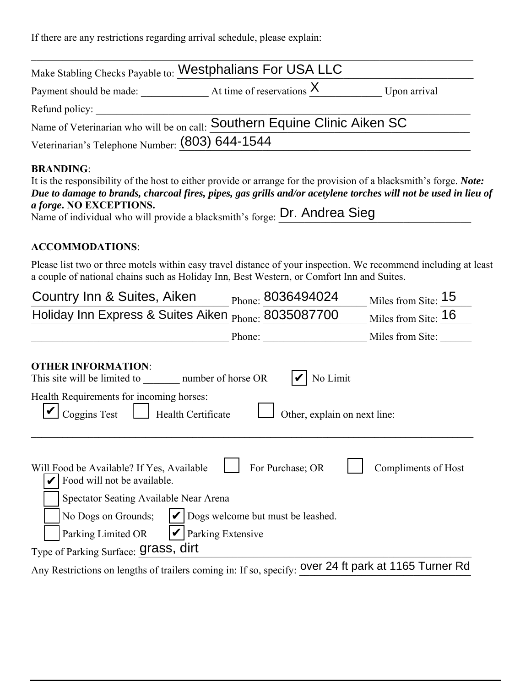If there are any restrictions regarding arrival schedule, please explain:

| Make Stabling Checks Payable to: Westphalians For USA LLC                 |                             |              |
|---------------------------------------------------------------------------|-----------------------------|--------------|
| Payment should be made:                                                   | At time of reservations $X$ | Upon arrival |
| Refund policy:                                                            |                             |              |
| Name of Veterinarian who will be on call: Southern Equine Clinic Aiken SC |                             |              |
| Veterinarian's Telephone Number: (803) 644-1544                           |                             |              |

## **BRANDING**:

| It is the responsibility of the host to either provide or arrange for the provision of a blacksmith's forge. Note: |
|--------------------------------------------------------------------------------------------------------------------|
| Due to damage to brands, charcoal fires, pipes, gas grills and/or acetylene torches will not be used in lieu of    |
| <i>a forge.</i> NO EXCEPTIONS.                                                                                     |
| Name of individual who will provide a blacksmith's forge: Dr. Andrea Sieg                                          |

## **ACCOMMODATIONS**:

Please list two or three motels within easy travel distance of your inspection. We recommend including at least a couple of national chains such as Holiday Inn, Best Western, or Comfort Inn and Suites.

| Country Inn & Suites, Aiken                                                                                        | Phone: 8036494024                 | Miles from Site: 15 |
|--------------------------------------------------------------------------------------------------------------------|-----------------------------------|---------------------|
| Holiday Inn Express & Suites Aiken <sub>Phone:</sub> 8035087700                                                    |                                   | Miles from Site: 16 |
|                                                                                                                    | Phone:                            | Miles from Site:    |
| <b>OTHER INFORMATION:</b><br>This site will be limited to number of horse OR                                       | No Limit                          |                     |
| Health Requirements for incoming horses:<br>Coggins Test<br>Health Certificate                                     | Other, explain on next line:      |                     |
| Will Food be Available? If Yes, Available<br>Food will not be available.<br>Spectator Seating Available Near Arena | For Purchase; OR                  | Compliments of Host |
| No Dogs on Grounds;<br>Parking Extensive<br>Parking Limited OR                                                     | Dogs welcome but must be leashed. |                     |
| Type of Parking Surface: <b>Grass</b> , dirt                                                                       |                                   |                     |
| Any Restrictions on lengths of trailers coming in: If so, specify: over 24 ft park at 1165 Turner Rd               |                                   |                     |